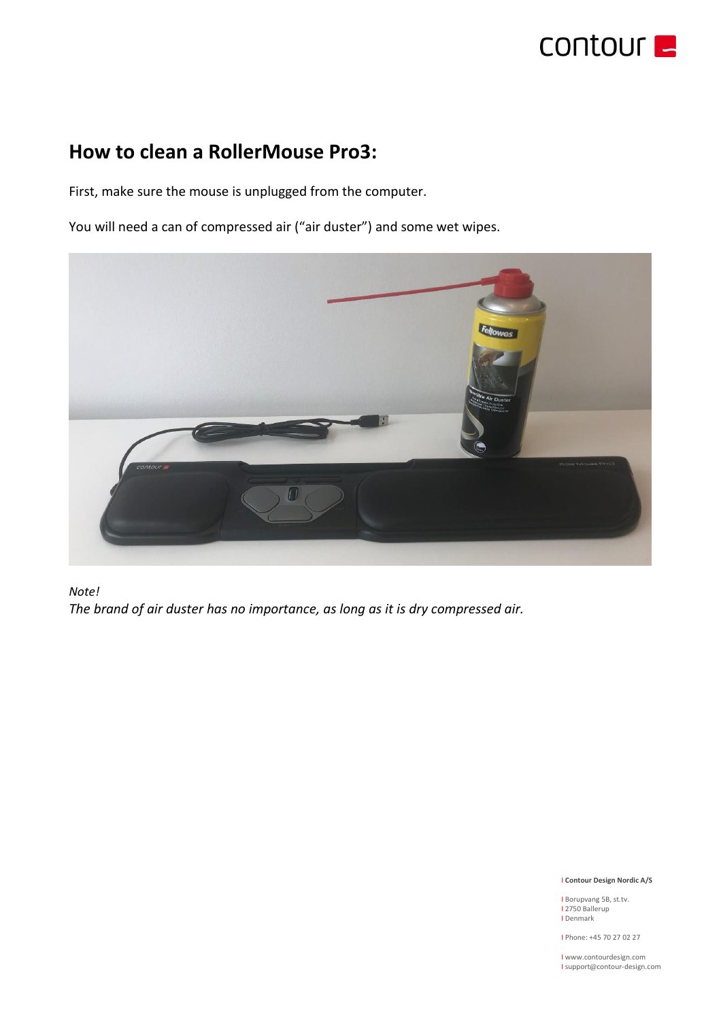

# **How to clean a RollerMouse Pro3:**

First, make sure the mouse is unplugged from the computer.

You will need a can of compressed air ("air duster") and some wet wipes.



## *Note! The brand of air duster has no importance, as long as it is dry compressed air.*

### I **Contour Design Nordic A/S**

I Borupvang 5B, st.tv.<br>I 2750 Ballerup I Denmark

I Phone: +45 70 27 02 27

I www.contourdesign.com I support@contour-design.com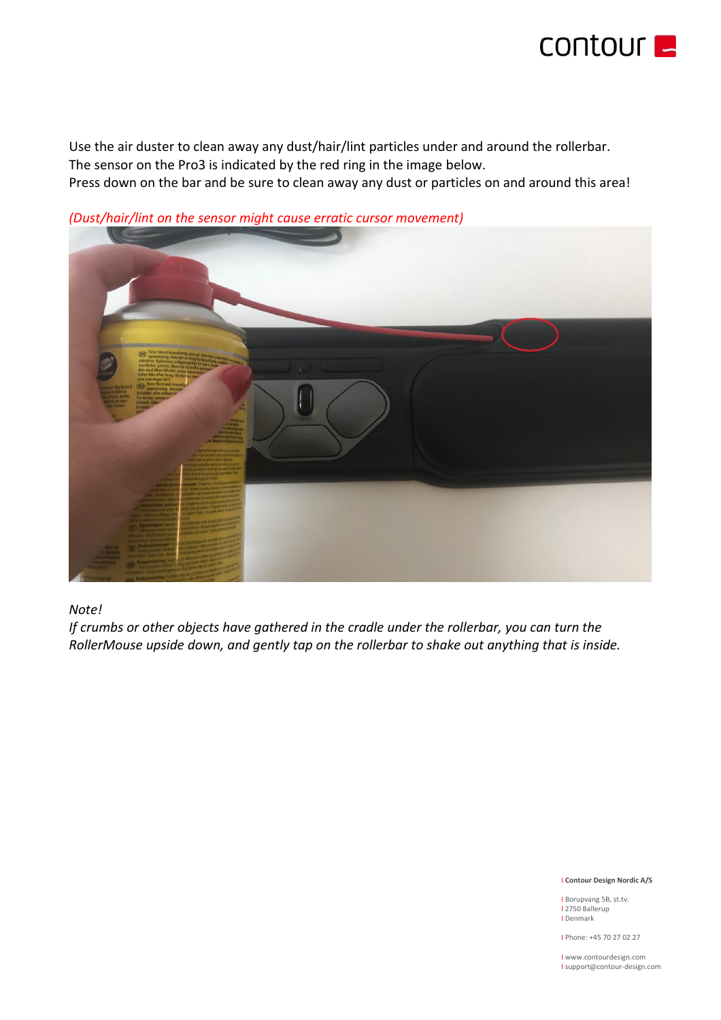

Use the air duster to clean away any dust/hair/lint particles under and around the rollerbar. The sensor on the Pro3 is indicated by the red ring in the image below. Press down on the bar and be sure to clean away any dust or particles on and around this area!



*(Dust/hair/lint on the sensor might cause erratic cursor movement)*

## *Note!*

*If crumbs or other objects have gathered in the cradle under the rollerbar, you can turn the RollerMouse upside down, and gently tap on the rollerbar to shake out anything that is inside.*

### I **Contour Design Nordic A/S**

I Borupvang 5B, st.tv. I 2750 Ballerup I Denmark

I Phone: +45 70 27 02 27

I www.contourdesign.com I support@contour-design.com